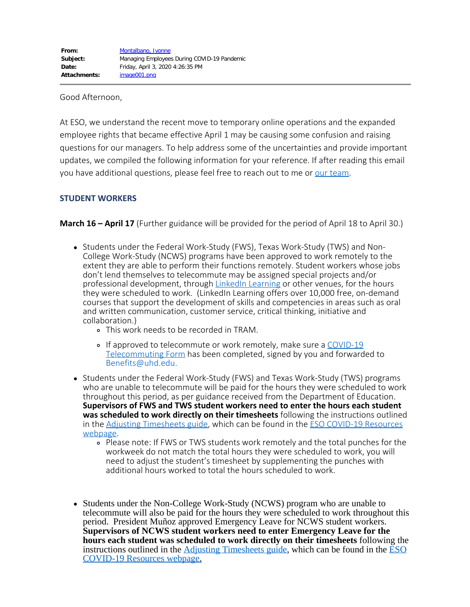#### Good Afternoon,

At ESO, we understand the recent move to temporary online operations and the expanded employee rights that became effective April 1 may be causing some confusion and raising questions for our managers. To help address some of the uncertainties and provide important updates, we compiled the following information for your reference. If after reading this email you have additional questions, please feel free to reach out to me or [our team](https://www.uhd.edu/administration/employment-services-operations/Pages/about-us.aspx).

#### **STUDENT WORKERS**

**March 16 – April 17** (Further guidance will be provided for the period of April 18 to April 30.)

- Students under the Federal Work-Study (FWS), Texas Work-Study (TWS) and Non-College Work-Study (NCWS) programs have been approved to work remotely to the extent they are able to perform their functions remotely. Student workers whose jobs don't lend themselves to telecommute may be assigned special projects and/or professional development, through [LinkedIn Learning](https://www.linkedin.com/learning/) or other venues, for the hours they were scheduled to work. (LinkedIn Learning offers over 10,000 free, on-demand courses that support the development of skills and competencies in areas such as oral and written communication, customer service, critical thinking, initiative and collaboration.)
	- This work needs to be recorded in TRAM.
	- o If approved to telecommute or work remotely, make sure a [COVID-19](https://www.uhd.edu/administration/employment-services-operations/Documents/UHD_COVID-19_Telecommuting_Form.pdf) [Telecommuting Form](https://www.uhd.edu/administration/employment-services-operations/Documents/UHD_COVID-19_Telecommuting_Form.pdf) has been completed, signed by you and forwarded to Benefits@uhd.edu.
- Students under the Federal Work-Study (FWS) and Texas Work-Study (TWS) programs who are unable to telecommute will be paid for the hours they were scheduled to work throughout this period, as per guidance received from the Department of Education. **Supervisors of FWS and TWS student workers need to enter the hours each student was scheduled to work directly on their timesheets** following the instructions outlined in the [Adjusting Timesheets guide](https://www.uhd.edu/administration/employment-services-operations/Documents/Adjusting%20Timesheets.pdf), which can be found in the [ESO COVID-19 Resources](https://www.uhd.edu/administration/employment-services-operations/Pages/Covid-Resources.aspx) [webpage.](https://www.uhd.edu/administration/employment-services-operations/Pages/Covid-Resources.aspx)
	- Please note: If FWS or TWS students work remotely and the total punches for the workweek do not match the total hours they were scheduled to work, you will need to adjust the student's timesheet by supplementing the punches with additional hours worked to total the hours scheduled to work.
- Students under the Non-College Work-Study (NCWS) program who are unable to telecommute will also be paid for the hours they were scheduled to work throughout this period. President Muñoz approved Emergency Leave for NCWS student workers. **Supervisors of NCWS student workers need to enter Emergency Leave for the hours each student was scheduled to work directly on their timesheets** following the instructions outlined in the Adjusting [Timesheets](https://www.uhd.edu/administration/employment-services-operations/Documents/Adjusting%20Timesheets.pdf) guide, which can be found in the [ESO](https://www.uhd.edu/administration/employment-services-operations/Pages/Covid-Resources.aspx) [COVID-19](https://www.uhd.edu/administration/employment-services-operations/Pages/Covid-Resources.aspx) Resources webpage.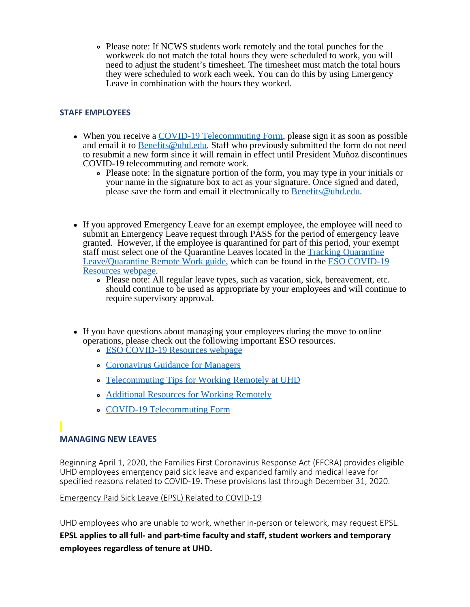Please note: If NCWS students work remotely and the total punches for the workweek do not match the total hours they were scheduled to work, you will need to adjust the student's timesheet. The timesheet must match the total hours they were scheduled to work each week. You can do this by using Emergency Leave in combination with the hours they worked.

### **STAFF EMPLOYEES**

- When you receive a COVID-19 [Telecommuting](https://www.uhd.edu/administration/employment-services-operations/Documents/UHD_COVID-19_Telecommuting_Form.pdf) Form, please sign it as soon as possible and email it to [Benefits@uhd.edu](mailto:Benefits@uhd.edu). Staff who previously submitted the form do not need to resubmit a new form since it will remain in effect until President Muñoz discontinues COVID-19 telecommuting and remote work.
	- Please note: In the signature portion of the form, you may type in your initials or your name in the signature box to act as your signature. Once signed and dated, please save the form and email it electronically to [Benefits@uhd.edu.](mailto:Benefits@uhd.edu)
- If you approved Emergency Leave for an exempt employee, the employee will need to submit an Emergency Leave request through PASS for the period of emergency leave granted. However, if the employee is quarantined for part of this period, your exempt staff must select one of the Quarantine Leaves located in the Tracking [Quarantine](https://www.uhd.edu/administration/employment-services-operations/Documents/Tracking%20Quarantine%20Remote%20Work%20and%20Leave.pdf) [Leave/Quarantine](https://www.uhd.edu/administration/employment-services-operations/Documents/Tracking%20Quarantine%20Remote%20Work%20and%20Leave.pdf) Remote Work guide, which can be found in the **ESO [COVID-19](https://www.uhd.edu/administration/employment-services-operations/Pages/Covid-Resources.aspx)** [Resources](https://www.uhd.edu/administration/employment-services-operations/Pages/Covid-Resources.aspx) webpage.
	- Please note: All regular leave types, such as vacation, sick, bereavement, etc. should continue to be used as appropriate by your employees and will continue to require supervisory approval.
- If you have questions about managing your employees during the move to online operations, please check out the following important ESO resources.
	- **ESO [COVID-19](https://www.uhd.edu/administration/employment-services-operations/Pages/Covid-Resources.aspx) Resources webpage**
	- [Coronavirus](https://www.uhd.edu/administration/employment-services-operations/Documents/Coronavirus%20Guidance%20for%20Managers%203-20-2020.pdf) Guidance for Managers
	- [Telecommuting](https://www.uhd.edu/administration/employment-services-operations/Documents/Telecommuting%20Tips%20for%20Working%20Remotely%20at%20UHD.pdf) Tips for Working Remotely at UHD
	- [Additional](https://www.uhd.edu/administration/employment-services-operations/Pages/Additional-Resources-for-Working-Remotely.aspx) Resources for Working Remotely
	- COVID-19 [Telecommuting](https://www.uhd.edu/administration/employment-services-operations/Documents/UHD_COVID-19_Telecommuting_Form.pdf) Form

## **MANAGING NEW LEAVES**

Beginning April 1, 2020, the Families First Coronavirus Response Act (FFCRA) provides eligible UHD employees emergency paid sick leave and expanded family and medical leave for specified reasons related to COVID-19. These provisions last through December 31, 2020.

#### Emergency Paid Sick Leave (EPSL) Related to COVID-19

UHD employees who are unable to work, whether in-person or telework, may request EPSL. **EPSL applies to all full- and part-time faculty and staff, student workers and temporary employees regardless of tenure at UHD.**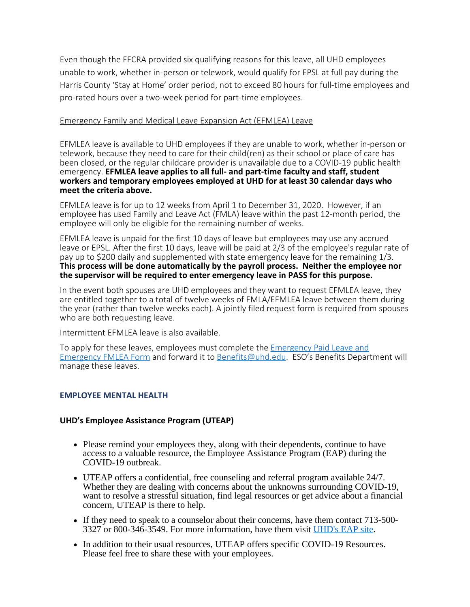Even though the FFCRA provided six qualifying reasons for this leave, all UHD employees unable to work, whether in-person or telework, would qualify for EPSL at full pay during the Harris County 'Stay at Home' order period, not to exceed 80 hours for full-time employees and pro-rated hours over a two-week period for part-time employees.

#### Emergency Family and Medical Leave Expansion Act (EFMLEA) Leave

EFMLEA leave is available to UHD employees if they are unable to work, whether in-person or telework, because they need to care for their child(ren) as their school or place of care has been closed, or the regular childcare provider is unavailable due to a COVID-19 public health emergency. **EFMLEA leave applies to all full- and part-time faculty and staff, student workers and temporary employees employed at UHD for at least 30 calendar days who meet the criteria above.**

EFMLEA leave is for up to 12 weeks from April 1 to December 31, 2020. However, if an employee has used Family and Leave Act (FMLA) leave within the past 12-month period, the employee will only be eligible for the remaining number of weeks.

EFMLEA leave is unpaid for the first 10 days of leave but employees may use any accrued leave or EPSL. After the first 10 days, leave will be paid at 2/3 of the employee's regular rate of pay up to \$200 daily and supplemented with state emergency leave for the remaining 1/3. **This process will be done automatically by the payroll process. Neither the employee nor the supervisor will be required to enter emergency leave in PASS for this purpose.**

In the event both spouses are UHD employees and they want to request EFMLEA leave, they are entitled together to a total of twelve weeks of FMLA/EFMLEA leave between them during the year (rather than twelve weeks each). A jointly filed request form is required from spouses who are both requesting leave.

Intermittent EFMLEA leave is also available.

To apply for these leaves, employees must complete the [Emergency Paid Leave and](https://www.uhd.edu/administration/employment-services-operations/Documents/Emergency%20Paid%20Leave%20and%20Emergency%20FMLEA%20Form.pdf) [Emergency FMLEA Form](https://www.uhd.edu/administration/employment-services-operations/Documents/Emergency%20Paid%20Leave%20and%20Emergency%20FMLEA%20Form.pdf) and forward it to [Benefits@uhd.edu](mailto:Benefits@uhd.edu). ESO's Benefits Department will manage these leaves.

#### **EMPLOYEE MENTAL HEALTH**

#### **UHD's Employee Assistance Program (UTEAP)**

- Please remind your employees they, along with their dependents, continue to have access to a valuable resource, the Employee Assistance Program (EAP) during the COVID-19 outbreak.
- UTEAP offers a confidential, free counseling and referral program available 24/7. Whether they are dealing with concerns about the unknowns surrounding COVID-19, want to resolve a stressful situation, find legal resources or get advice about a financial concern, UTEAP is there to help.
- If they need to speak to a counselor about their concerns, have them contact 713-500- 3327 or 800-346-3549. For more information, have them visit [UHD's](https://www.uhd.edu/administration/employment-services-operations/work-life/Pages/hr-eap.aspx) EAP site.
- In addition to their usual resources, UTEAP offers specific COVID-19 Resources. Please feel free to share these with your employees.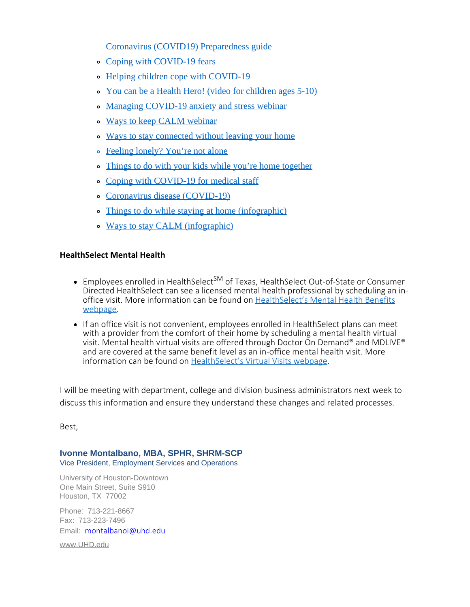Coronavirus (COVID19) [Preparedness](https://www.mylifevalues.com/media/pdf/Current-National-Events/CoronavirusResources.pdf) guide

- Coping with [COVID-19](http://www.promoinfotools.com/Communications/ecard/Svcs/Wellness/CopingWithCoronavirus_RFL.pdf) fears
- Helping children cope with [COVID-19](http://www.promoinfotools.com/Communications/Webinars/RFLWebVideoResourcePages/HelpingChildrenCopeWithCOVID-19.html)
- You can be a Health Hero! (video for [children](http://www.promoinfotools.com/Communications/Webinars/RFLWebVideoResourcePages/YouCanBeAHealthHero.html) ages 5-10)
- Managing [COVID-19](http://www.promoinfotools.com/Communications/Webinars/RFLWebinarWebPages/ManagingCOVID-19Anxiety.html) anxiety and stress webinar
- o Ways to keep CALM [webinar](http://www.promoinfotools.com/Communications/Webinars/RFLWebinarWebPages/CoronavirusFearsWaysToKeepCalmCC.html)
- Ways to stay [connected](http://www.promoinfotools.com/Communications/ecard/Svcs/Wellness/WaysToConnectWithoutLeavingYourHome_RFL.pdf) without leaving your home
- [Feeling](http://www.promoinfotools.com/Communications/ecard/Svcs/Wellness/FeelingLonely_RFL.pdf) lonely? You're not alone
- Things to do with your kids while you're home [together](http://www.promoinfotools.com/Communications/ecard/Svcs/Wellness/ThingsToDoWithYourKidsWhileYou)
- Coping with [COVID-19](http://www.promoinfotools.com/Communications/ecard/Svcs/Wellness/CopingWithCOVID-19_MedicalStaff_RFL.pdf) for medical staff
- Coronavirus disease [\(COVID-19\)](https://www.mylifevalues.com/hwcontent?article=ack8845&lang=en-us)
- Things to do while staying at home [\(infographic\)](http://www.promoinfotools.com/Communications/ecard/Svcs/Wellness/ThingsToDoWhenInside_RFL.pdf)
- Ways to stay CALM [\(infographic\)](http://www.promoinfotools.com/Communications/ecard/Svcs/Wellness/WaysToStayCalm_RFL.pdf)

## **HealthSelect Mental Health**

- Employees enrolled in HealthSelect<sup>SM</sup> of Texas, HealthSelect Out-of-State or Consumer Directed HealthSelect can see a licensed mental health professional by scheduling an in-office visit. More information can be found on [HealthSelect's Mental Health Benefits](https://healthselect.bcbstx.com/content/medical-benefits/mental-health) [webpage.](https://healthselect.bcbstx.com/content/medical-benefits/mental-health)
- If an office visit is not convenient, employees enrolled in HealthSelect plans can meet with a provider from the comfort of their home by scheduling a mental health virtual visit. Mental health virtual visits are offered through Doctor On Demand® and MDLIVE® and are covered at the same benefit level as an in-office mental health visit. More information can be found on [HealthSelect's Virtual Visits webpage](https://healthselect.bcbstx.com/content/medical-benefits/virtual-visits).

I will be meeting with department, college and division business administrators next week to discuss this information and ensure they understand these changes and related processes.

Best,

# **Ivonne Montalbano, MBA, SPHR, SHRM-SCP**

Vice President, Employment Services and Operations

University of Houston-Downtown One Main Street, Suite S910 Houston, TX 77002

Phone: 713-221-8667 Fax: 713-223-7496 Email: [montalbanoi@uhd.edu](mailto:montalbanoi@uhd.edu)

[www.UHD.edu](http://www.uhd.edu/)